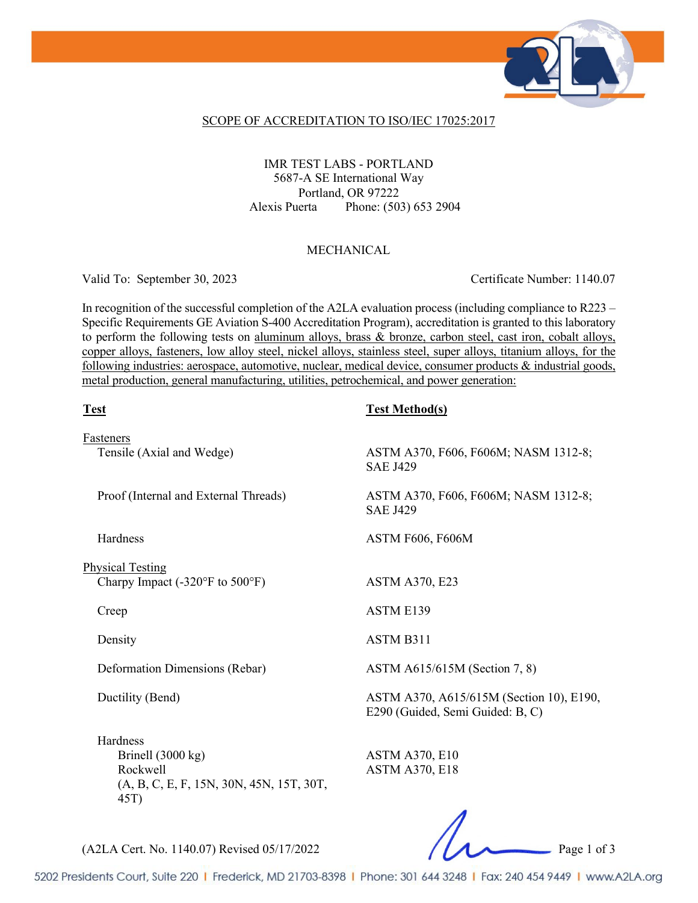

### SCOPE OF ACCREDITATION TO ISO/IEC 17025:2017

## IMR TEST LABS - PORTLAND 5687-A SE International Way Portland, OR 97222 Alexis Puerta Phone: (503) 653 2904

### MECHANICAL

Valid To: September 30, 2023 Certificate Number: 1140.07

In recognition of the successful completion of the A2LA evaluation process (including compliance to R223 – Specific Requirements GE Aviation S-400 Accreditation Program), accreditation is granted to this laboratory to perform the following tests on aluminum alloys, brass & bronze, carbon steel, cast iron, cobalt alloys, copper alloys, fasteners, low alloy steel, nickel alloys, stainless steel, super alloys, titanium alloys, for the following industries: aerospace, automotive, nuclear, medical device, consumer products & industrial goods, metal production, general manufacturing, utilities, petrochemical, and power generation:

| <b>Test</b>                                                                                            | <b>Test Method(s)</b>                                                        |
|--------------------------------------------------------------------------------------------------------|------------------------------------------------------------------------------|
| Fasteners<br>Tensile (Axial and Wedge)                                                                 | ASTM A370, F606, F606M; NASM 1312-8;<br><b>SAE J429</b>                      |
| Proof (Internal and External Threads)                                                                  | ASTM A370, F606, F606M; NASM 1312-8;<br><b>SAE J429</b>                      |
| Hardness                                                                                               | <b>ASTM F606, F606M</b>                                                      |
| <b>Physical Testing</b><br>Charpy Impact $(-320^{\circ}F)$ to $500^{\circ}F$ )                         | <b>ASTM A370, E23</b>                                                        |
| Creep                                                                                                  | <b>ASTM E139</b>                                                             |
| Density                                                                                                | ASTM B311                                                                    |
| Deformation Dimensions (Rebar)                                                                         | ASTM A615/615M (Section 7, 8)                                                |
| Ductility (Bend)                                                                                       | ASTM A370, A615/615M (Section 10), E190,<br>E290 (Guided, Semi Guided: B, C) |
| Hardness<br>Brinell $(3000 \text{ kg})$<br>Rockwell<br>(A, B, C, E, F, 15N, 30N, 45N, 15T, 30T,<br>45T | <b>ASTM A370, E10</b><br><b>ASTM A370, E18</b>                               |
|                                                                                                        | $\overline{ }$                                                               |

(A2LA Cert. No. 1140.07) Revised 05/17/2022 Page 1 of 3

5202 Presidents Court, Suite 220 | Frederick, MD 21703-8398 | Phone: 301 644 3248 | Fax: 240 454 9449 | www.A2LA.org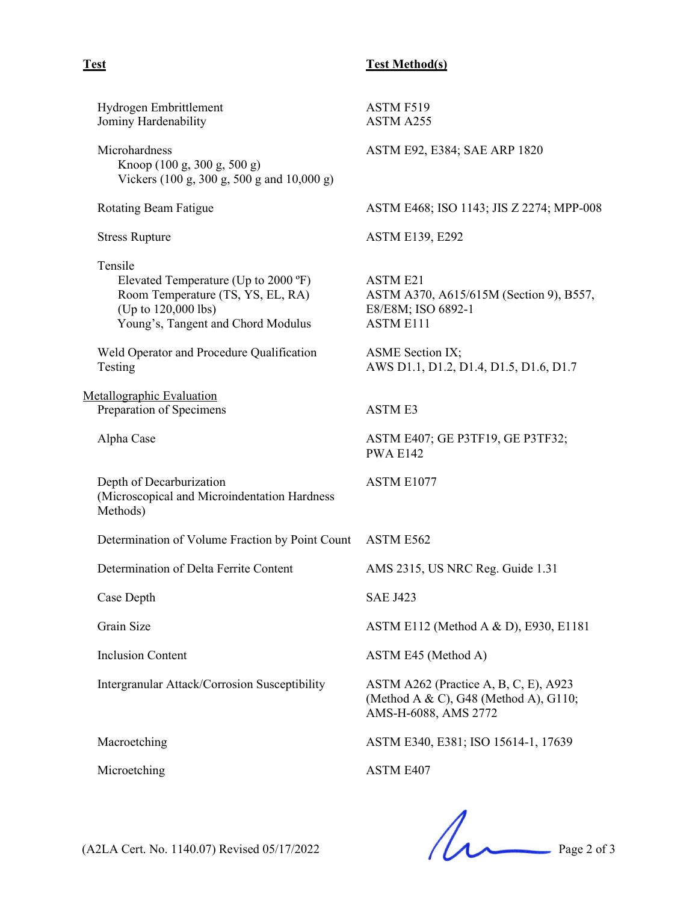## **Test Test Method(s)**

| Hydrogen Embrittlement<br>Jominy Hardenability                                                                                                    | ASTM F519<br>ASTM A255                                                                                 |
|---------------------------------------------------------------------------------------------------------------------------------------------------|--------------------------------------------------------------------------------------------------------|
| Microhardness<br>Knoop (100 g, 300 g, 500 g)<br>Vickers (100 g, 300 g, 500 g and 10,000 g)                                                        | ASTM E92, E384; SAE ARP 1820                                                                           |
| Rotating Beam Fatigue                                                                                                                             | ASTM E468; ISO 1143; JIS Z 2274; MPP-008                                                               |
| <b>Stress Rupture</b>                                                                                                                             | <b>ASTM E139, E292</b>                                                                                 |
| Tensile<br>Elevated Temperature (Up to 2000 °F)<br>Room Temperature (TS, YS, EL, RA)<br>(Up to 120,000 lbs)<br>Young's, Tangent and Chord Modulus | <b>ASTM E21</b><br>ASTM A370, A615/615M (Section 9), B557,<br>E8/E8M; ISO 6892-1<br><b>ASTM E111</b>   |
| Weld Operator and Procedure Qualification<br>Testing                                                                                              | ASME Section IX;<br>AWS D1.1, D1.2, D1.4, D1.5, D1.6, D1.7                                             |
| Metallographic Evaluation<br>Preparation of Specimens                                                                                             | <b>ASTME3</b>                                                                                          |
| Alpha Case                                                                                                                                        | ASTM E407; GE P3TF19, GE P3TF32;<br><b>PWA E142</b>                                                    |
| Depth of Decarburization<br>(Microscopical and Microindentation Hardness<br>Methods)                                                              | ASTM E1077                                                                                             |
| Determination of Volume Fraction by Point Count                                                                                                   | ASTM E562                                                                                              |
| Determination of Delta Ferrite Content                                                                                                            | AMS 2315, US NRC Reg. Guide 1.31                                                                       |
| Case Depth                                                                                                                                        | <b>SAE J423</b>                                                                                        |
| Grain Size                                                                                                                                        | ASTM E112 (Method A & D), E930, E1181                                                                  |
| <b>Inclusion Content</b>                                                                                                                          | ASTM E45 (Method A)                                                                                    |
| Intergranular Attack/Corrosion Susceptibility                                                                                                     | ASTM A262 (Practice A, B, C, E), A923<br>(Method A & C), G48 (Method A), G110;<br>AMS-H-6088, AMS 2772 |
| Macroetching                                                                                                                                      | ASTM E340, E381; ISO 15614-1, 17639                                                                    |
| Microetching                                                                                                                                      | ASTM E407                                                                                              |
|                                                                                                                                                   |                                                                                                        |

 $(A2LA$  Cert. No. 1140.07) Revised 05/17/2022 Page 2 of 3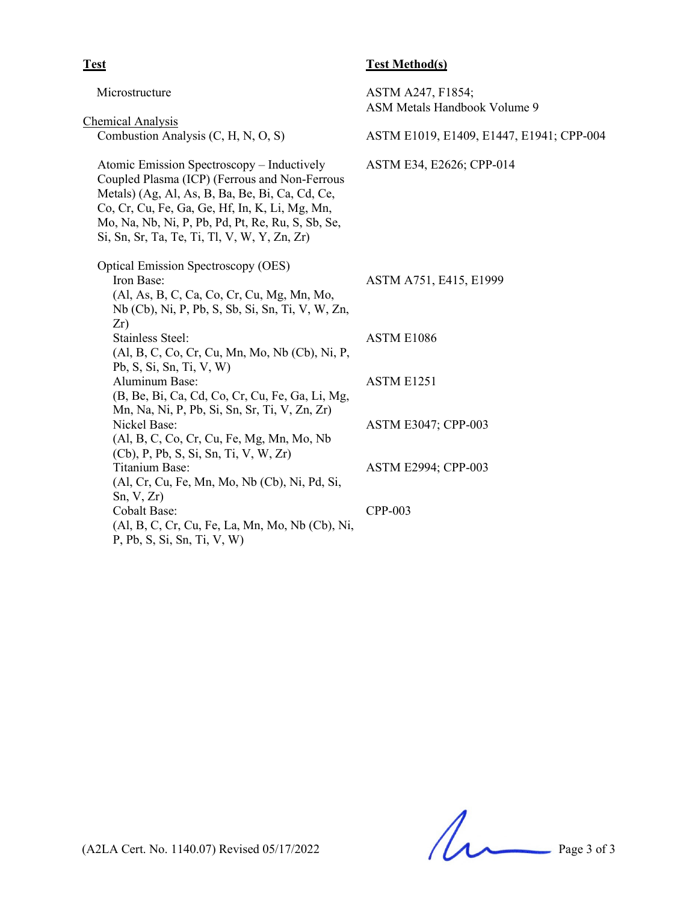| Microstructure                                                                                                                                                                                                                                                                                        | ASTM A247, F1854;<br>ASM Metals Handbook Volume 9 |
|-------------------------------------------------------------------------------------------------------------------------------------------------------------------------------------------------------------------------------------------------------------------------------------------------------|---------------------------------------------------|
| <b>Chemical Analysis</b>                                                                                                                                                                                                                                                                              |                                                   |
| Combustion Analysis (C, H, N, O, S)                                                                                                                                                                                                                                                                   | ASTM E1019, E1409, E1447, E1941; CPP-004          |
| Atomic Emission Spectroscopy - Inductively<br>Coupled Plasma (ICP) (Ferrous and Non-Ferrous<br>Metals) (Ag, Al, As, B, Ba, Be, Bi, Ca, Cd, Ce,<br>Co, Cr, Cu, Fe, Ga, Ge, Hf, In, K, Li, Mg, Mn,<br>Mo, Na, Nb, Ni, P, Pb, Pd, Pt, Re, Ru, S, Sb, Se,<br>Si, Sn, Sr, Ta, Te, Ti, Tl, V, W, Y, Zn, Zr) | ASTM E34, E2626; CPP-014                          |
| <b>Optical Emission Spectroscopy (OES)</b><br>Iron Base:<br>(Al, As, B, C, Ca, Co, Cr, Cu, Mg, Mn, Mo,<br>Nb (Cb), Ni, P, Pb, S, Sb, Si, Sn, Ti, V, W, Zn,                                                                                                                                            | ASTM A751, E415, E1999                            |
| Zr)<br><b>Stainless Steel:</b><br>(Al, B, C, Co, Cr, Cu, Mn, Mo, Nb (Cb), Ni, P,<br>Pb, S, Si, Sn, Ti, V, W)                                                                                                                                                                                          | ASTM E1086                                        |
| Aluminum Base:<br>(B, Be, Bi, Ca, Cd, Co, Cr, Cu, Fe, Ga, Li, Mg,<br>Mn, Na, Ni, P, Pb, Si, Sn, Sr, Ti, V, Zn, Zr)                                                                                                                                                                                    | <b>ASTM E1251</b>                                 |
| Nickel Base:<br>(Al, B, C, Co, Cr, Cu, Fe, Mg, Mn, Mo, Nb<br>$(Cb)$ , P, Pb, S, Si, Sn, Ti, V, W, Zr)                                                                                                                                                                                                 | <b>ASTM E3047; CPP-003</b>                        |
| Titanium Base:<br>(Al, Cr, Cu, Fe, Mn, Mo, Nb (Cb), Ni, Pd, Si,<br>Sn, V, Zr)                                                                                                                                                                                                                         | <b>ASTM E2994; CPP-003</b>                        |
| <b>Cobalt Base:</b><br>(Al, B, C, Cr, Cu, Fe, La, Mn, Mo, Nb (Cb), Ni,<br>P, Pb, S, Si, Sn, Ti, V, W                                                                                                                                                                                                  | CPP-003                                           |
|                                                                                                                                                                                                                                                                                                       |                                                   |

**Test Test Method(s)**

 $(A2LA$  Cert. No. 1140.07) Revised 05/17/2022 Page 3 of 3